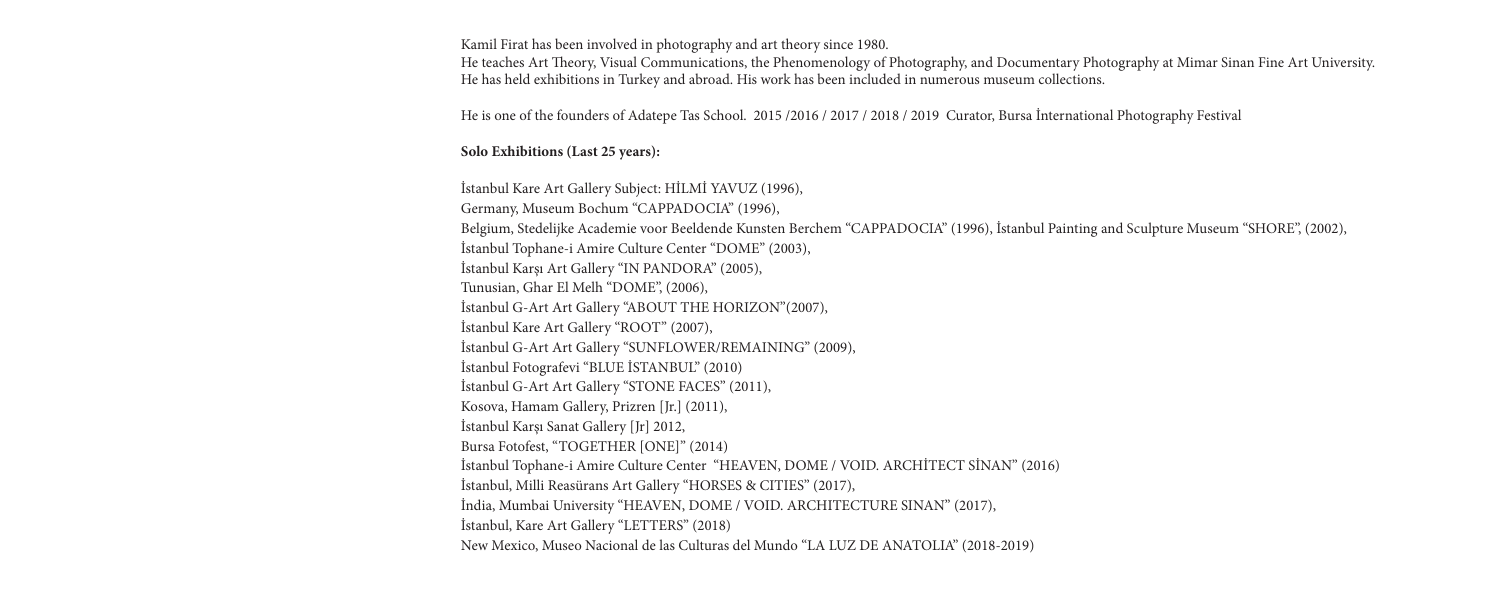Kamil Firat has been involved in photography and art theory since 1980.

He teaches Art Theory, Visual Communications, the Phenomenology of Photography, and Documentary Photography at Mimar Sinan Fine Art University. He has held exhibitions in Turkey and abroad. His work has been included in numerous museum collections.

He is one of the founders of Adatepe Tas School. 2015 /2016 / 2017 / 2018 / 2019 Curator, Bursa İnternational Photography Festival

## **Solo Exhibitions (Last 25 years):**

İstanbul Kare Art Gallery Subject: HİLMİ YAVUZ (1996), Germany, Museum Bochum "CAPPADOCIA" (1996), Belgium, Stedelijke Academie voor Beeldende Kunsten Berchem "CAPPADOCIA" (1996), İstanbul Painting and Sculpture Museum "SHORE", (2002), İstanbul Tophane-i Amire Culture Center "DOME" (2003), İstanbul Karşı Art Gallery "IN PANDORA" (2005), Tunusian, Ghar El Melh "DOME", (2006), İstanbul G-Art Art Gallery "ABOUT THE HORIZON"(2007), İstanbul Kare Art Gallery "ROOT" (2007), İstanbul G-Art Art Gallery "SUNFLOWER/REMAINING" (2009), İstanbul Fotografevi "BLUE İSTANBUL" (2010) İstanbul G-Art Art Gallery "STONE FACES" (2011), Kosova, Hamam Gallery, Prizren [Jr.] (2011), İstanbul Karşı Sanat Gallery [Jr] 2012, Bursa Fotofest, "TOGETHER [ONE]" (2014) İstanbul Tophane-i Amire Culture Center "HEAVEN, DOME / VOID. ARCHİTECT SİNAN" (2016) İstanbul, Milli Reasürans Art Gallery "HORSES & CITIES" (2017), İndia, Mumbai University "HEAVEN, DOME / VOID. ARCHITECTURE SINAN" (2017), İstanbul, Kare Art Gallery "LETTERS" (2018) New Mexico, Museo Nacional de las Culturas del Mundo "LA LUZ DE ANATOLIA" (2018-2019)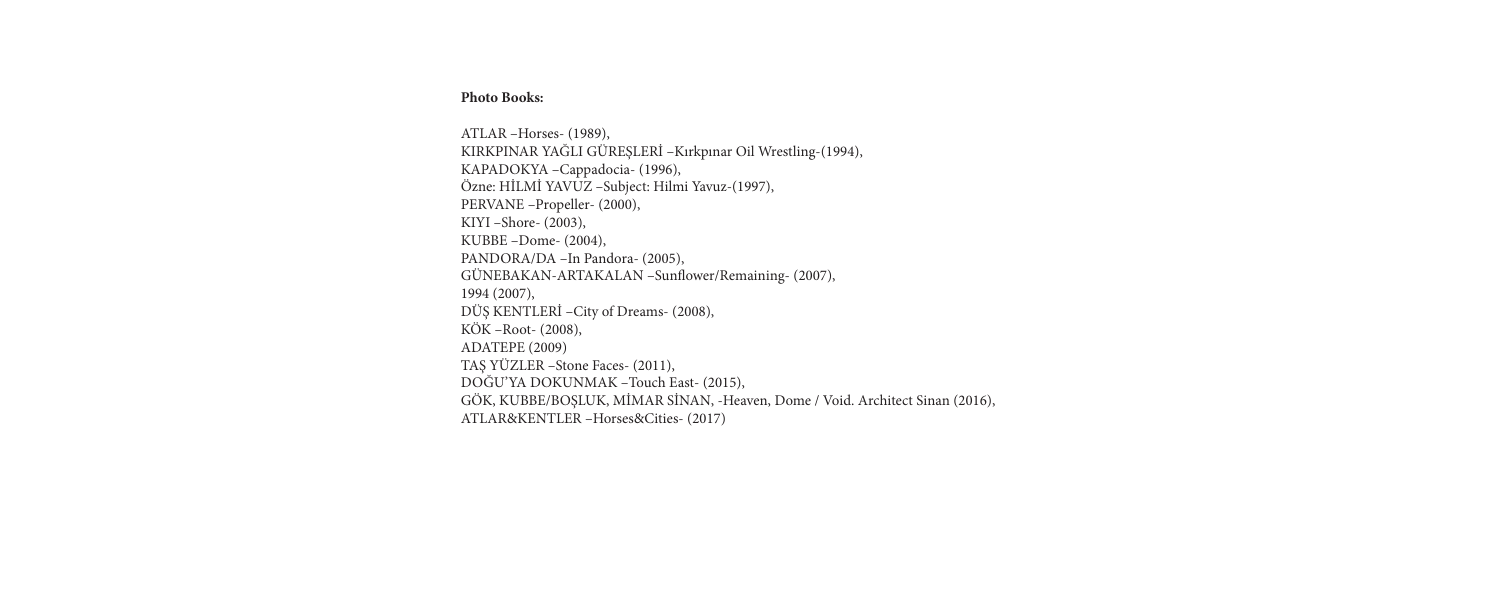## **Photo Books:**

ATLAR –Horses- (1989), KIRKPINAR YAĞLI GÜREŞLERİ –Kırkpınar Oil Wrestling-(1994), KAPADOKYA –Cappadocia- (1996), Özne: HİLMİ YAVUZ –Subject: Hilmi Yavuz-(1997), PERVANE –Propeller- (2000), KIYI –Shore- (2003), KUBBE –Dome- (2004), PANDORA/DA –In Pandora- (2005), GÜNEBAKAN-ARTAKALAN –Sunfower/Remaining- (2007), 1994 (2007), DÜŞ KENTLERİ –City of Dreams- (2008), KÖK –Root- (2008), ADATEPE (2009) TAŞ YÜZLER –Stone Faces- (2011), DOĞU'YA DOKUNMAK –Touch East- (2015), GÖK, KUBBE/BOŞLUK, MİMAR SİNAN, -Heaven, Dome / Void. Architect Sinan (2016), ATLAR&KENTLER –Horses&Cities- (2017)